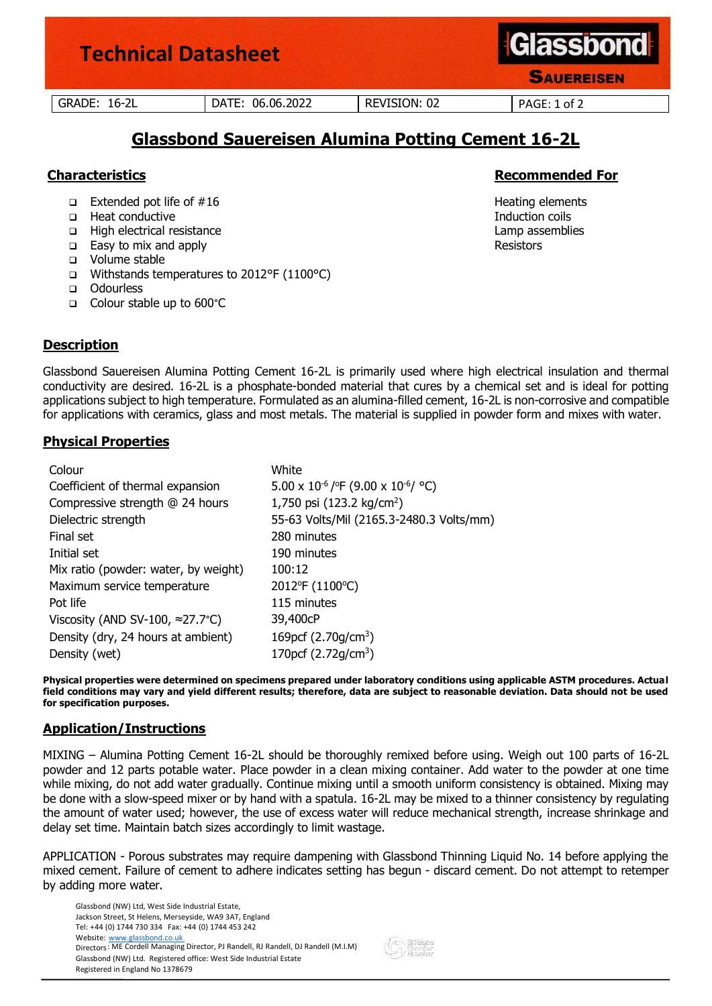

# **Glassbond Sauereisen Alumina Potting Cement 16-2L**

- ❑ Extended pot life of #16 Heating elements
- ❑ Heat conductive Induction coils
- ❑ High electrical resistance Lamp assemblies
- ❑ Easy to mix and apply Resistors
- ❑ Volume stable
- ❑ Withstands temperatures to 2012°F (1100°C)
- ❑ Odourless
- ❑ Colour stable up to 600°C

# **Description**

Glassbond Sauereisen Alumina Potting Cement 16-2L is primarily used where high electrical insulation and thermal conductivity are desired. 16-2L is a phosphate-bonded material that cures by a chemical set and is ideal for potting applications subject to high temperature. Formulated as an alumina-filled cement, 16-2L is non-corrosive and compatible for applications with ceramics, glass and most metals. The material is supplied in powder form and mixes with water.

# **Physical Properties**

| White                                                                             |
|-----------------------------------------------------------------------------------|
| $5.00 \times 10^{-6}$ / <sup>o</sup> F (9.00 x 10 <sup>-6</sup> / <sup>o</sup> C) |
| 1,750 psi (123.2 kg/cm <sup>2</sup> )                                             |
| 55-63 Volts/Mil (2165.3-2480.3 Volts/mm)                                          |
| 280 minutes                                                                       |
| 190 minutes                                                                       |
| 100:12                                                                            |
| 2012°F (1100°C)                                                                   |
| 115 minutes                                                                       |
| 39,400cP                                                                          |
| 169pcf (2.70g/cm <sup>3</sup> )                                                   |
| 170pcf (2.72g/cm <sup>3</sup> )                                                   |
|                                                                                   |

**Physical properties were determined on specimens prepared under laboratory conditions using applicable ASTM procedures. Actual field conditions may vary and yield different results; therefore, data are subject to reasonable deviation. Data should not be used for specification purposes.**

#### **Application/Instructions**

MIXING – Alumina Potting Cement 16-2L should be thoroughly remixed before using. Weigh out 100 parts of 16-2L powder and 12 parts potable water. Place powder in a clean mixing container. Add water to the powder at one time while mixing, do not add water gradually. Continue mixing until a smooth uniform consistency is obtained. Mixing may be done with a slow-speed mixer or by hand with a spatula. 16-2L may be mixed to a thinner consistency by regulating the amount of water used; however, the use of excess water will reduce mechanical strength, increase shrinkage and delay set time. Maintain batch sizes accordingly to limit wastage.

APPLICATION - Porous substrates may require dampening with Glassbond Thinning Liquid No. 14 before applying the mixed cement. Failure of cement to adhere indicates setting has begun - discard cement. Do not attempt to retemper by adding more water.

Glassbond (NW) Ltd, West Side Industrial Estate, Jackson Street, St Helens, Merseyside, WA9 3AT, England Tel: +44 (0) 1744 730 334 Fax: +44 (0) 1744 453 242 Website: www.glassbond.co.uk Directors: ME Cordell Managing Director, PJ Randell, RJ Randell, DJ Randell (M.I.M) Glassbond (NW) Ltd. Registered office: West Side Industrial Estate Registered in England No 1378679

# **Characteristics Recommended For Recommended For**